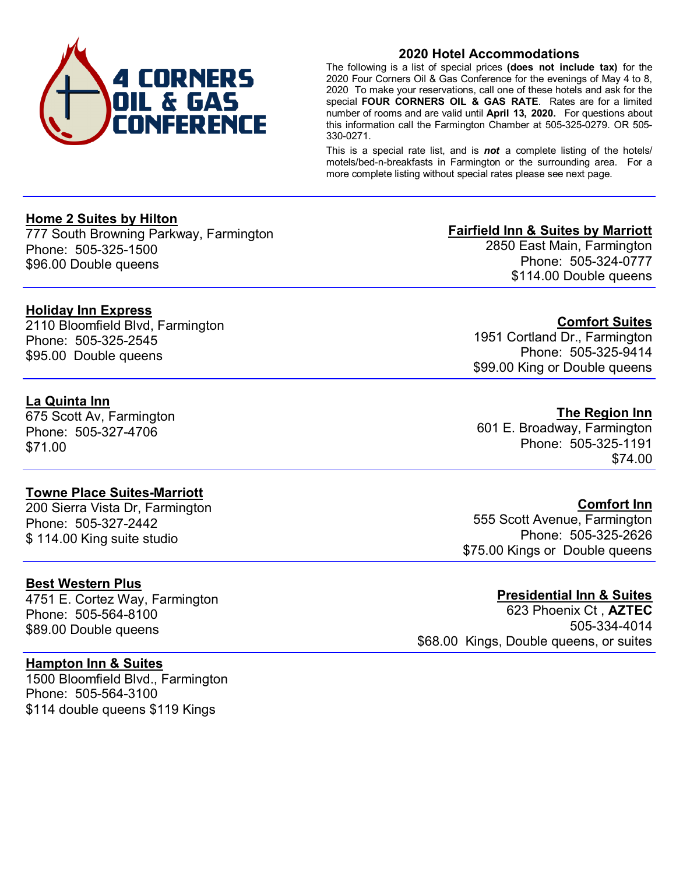

## **2020 Hotel Accommodations**

The following is a list of special prices **(does not include tax)** for the 2020 Four Corners Oil & Gas Conference for the evenings of May 4 to 8, 2020 To make your reservations, call one of these hotels and ask for the special **FOUR CORNERS OIL & GAS RATE**. Rates are for a limited number of rooms and are valid until **April 13, 2020.** For questions about this information call the Farmington Chamber at 505-325-0279. OR 505- 330-0271.

This is a special rate list, and is *not* a complete listing of the hotels/ motels/bed-n-breakfasts in Farmington or the surrounding area. For a more complete listing without special rates please see next page.

## **Home 2 Suites by Hilton**

777 South Browning Parkway, Farmington Phone: 505-325-1500 \$96.00 Double queens

## **Holiday Inn Express**

2110 Bloomfield Blvd, Farmington Phone: 505-325-2545 \$95.00 Double queens

# **La Quinta Inn**

675 Scott Av, Farmington Phone: 505-327-4706 \$71.00

### **Towne Place Suites-Marriott**

200 Sierra Vista Dr, Farmington Phone: 505-327-2442 \$ 114.00 King suite studio

### **Best Western Plus**

4751 E. Cortez Way, Farmington Phone: 505-564-8100 \$89.00 Double queens

## **Hampton Inn & Suites**

1500 Bloomfield Blvd., Farmington Phone: 505-564-3100 \$114 double queens \$119 Kings

### **Fairfield Inn & Suites by Marriott**

2850 East Main, Farmington Phone: 505-324-0777 \$114.00 Double queens

**Comfort Suites**  1951 Cortland Dr., Farmington Phone: 505-325-9414

\$99.00 King or Double queens

## **The Region Inn**

601 E. Broadway, Farmington Phone: 505-325-1191 \$74.00

### **Comfort Inn**

555 Scott Avenue, Farmington Phone: 505-325-2626 \$75.00 Kings or Double queens

### **Presidential Inn & Suites**

623 Phoenix Ct , **AZTEC** 505-334-4014 \$68.00 Kings, Double queens, or suites